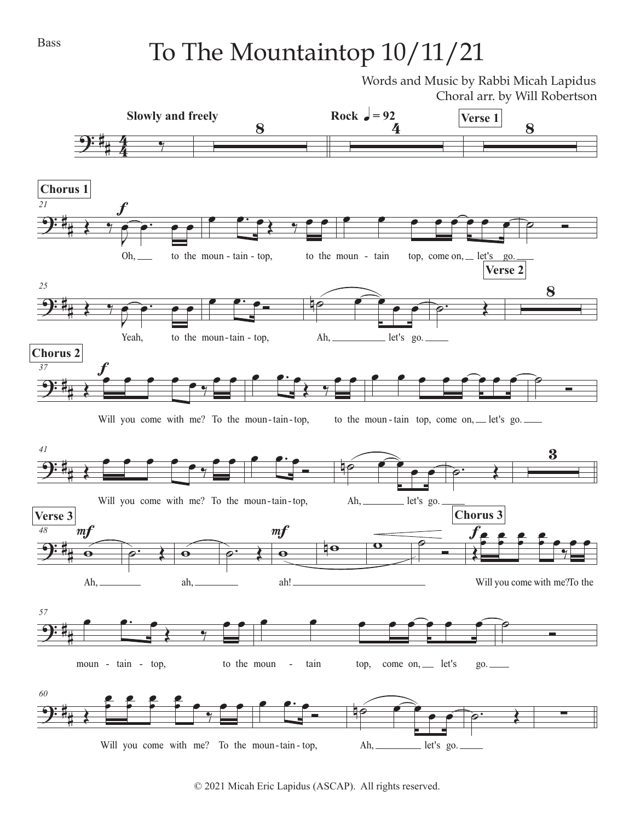## To The Mountaintop 10/11/21

Words and Music by Rabbi Micah Lapidus Choral arr. by Will Robertson



© 2021 Micah Eric Lapidus (ASCAP). All rights reserved.